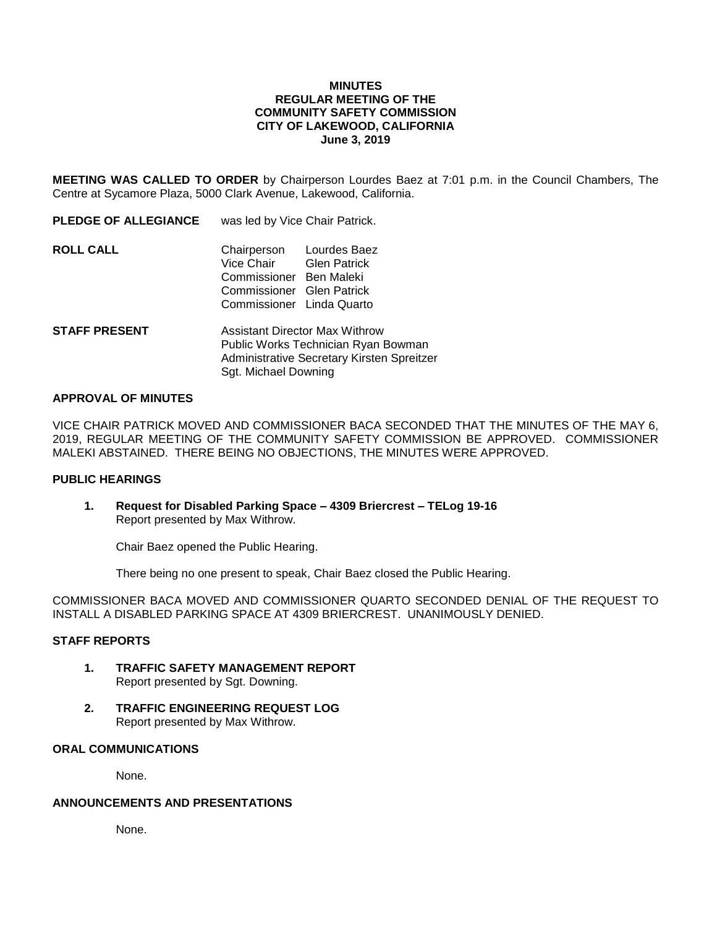## **MINUTES REGULAR MEETING OF THE COMMUNITY SAFETY COMMISSION CITY OF LAKEWOOD, CALIFORNIA June 3, 2019**

**MEETING WAS CALLED TO ORDER** by Chairperson Lourdes Baez at 7:01 p.m. in the Council Chambers, The Centre at Sycamore Plaza, 5000 Clark Avenue, Lakewood, California.

| <b>PLEDGE OF ALLEGIANCE</b> | was led by Vice Chair Patrick.                                                                                                           |  |
|-----------------------------|------------------------------------------------------------------------------------------------------------------------------------------|--|
| <b>ROLL CALL</b>            | Chairperson Lourdes Baez<br>Vice Chair Glen Patrick<br>Commissioner Ben Maleki<br>Commissioner Glen Patrick<br>Commissioner Linda Quarto |  |
| <b>STAFF PRESENT</b>        | <b>Assistant Director Max Withrow</b><br>Public Works Technician Ryan Bowman                                                             |  |

### **APPROVAL OF MINUTES**

VICE CHAIR PATRICK MOVED AND COMMISSIONER BACA SECONDED THAT THE MINUTES OF THE MAY 6, 2019, REGULAR MEETING OF THE COMMUNITY SAFETY COMMISSION BE APPROVED. COMMISSIONER MALEKI ABSTAINED. THERE BEING NO OBJECTIONS, THE MINUTES WERE APPROVED.

Administrative Secretary Kirsten Spreitzer

### **PUBLIC HEARINGS**

**1. Request for Disabled Parking Space – 4309 Briercrest – TELog 19-16** Report presented by Max Withrow.

Sgt. Michael Downing

Chair Baez opened the Public Hearing.

There being no one present to speak, Chair Baez closed the Public Hearing.

COMMISSIONER BACA MOVED AND COMMISSIONER QUARTO SECONDED DENIAL OF THE REQUEST TO INSTALL A DISABLED PARKING SPACE AT 4309 BRIERCREST. UNANIMOUSLY DENIED.

#### **STAFF REPORTS**

- **1. TRAFFIC SAFETY MANAGEMENT REPORT** Report presented by Sgt. Downing.
- **2. TRAFFIC ENGINEERING REQUEST LOG** Report presented by Max Withrow.

## **ORAL COMMUNICATIONS**

None.

## **ANNOUNCEMENTS AND PRESENTATIONS**

None.